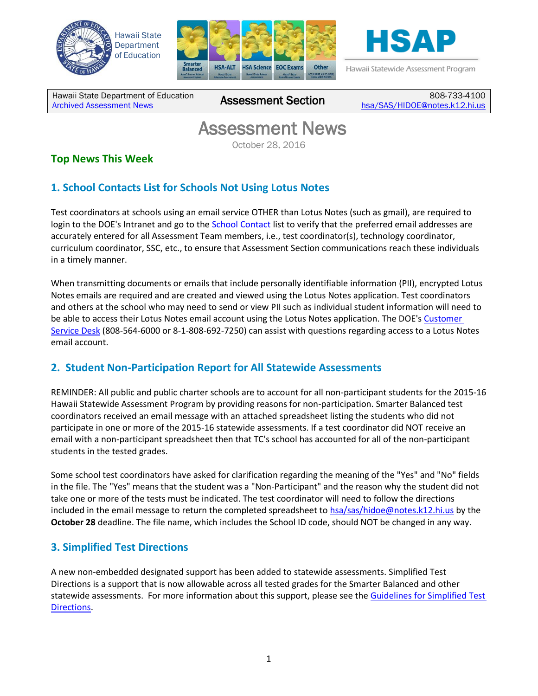





Hawaii Statewide Assessment Program

Hawaii State Department of Education **Assessment News** Assessment Section

808-733-4100 [hsa/SAS/HIDOE@notes.k12.hi.us](mailto:hsa/SAS/HIDOE@notes.k12.hi.us)

# Assessment News

October 28, 2016

## **Top News This Week**

## **1. School Contacts List for Schools Not Using Lotus Notes**

Test coordinators at schools using an email service OTHER than Lotus Notes (such as gmail), are required to login to the DOE's Intranet and go to the [School Contact](https://intranet.hawaiipublicschools.org/offices/osip/aa/Pages/SchoolContacts.aspx#/main) list to verify that the preferred email addresses are accurately entered for all Assessment Team members, i.e., test coordinator(s), technology coordinator, curriculum coordinator, SSC, etc., to ensure that Assessment Section communications reach these individuals in a timely manner.

When transmitting documents or emails that include personally identifiable information (PII), encrypted Lotus Notes emails are required and are created and viewed using the Lotus Notes application. Test coordinators and others at the school who may need to send or view PII such as individual student information will need to be able to access their Lotus Notes email account using the Lotus Notes application. The DOE'[s Customer](https://intranet.hawaiipublicschools.org/offices/oits/stsb)  [Service Desk](https://intranet.hawaiipublicschools.org/offices/oits/stsb) (808-564-6000 or 8-1-808-692-7250) can assist with questions regarding access to a Lotus Notes email account.

### **2. Student Non-Participation Report for All Statewide Assessments**

REMINDER: All public and public charter schools are to account for all non-participant students for the 2015-16 Hawaii Statewide Assessment Program by providing reasons for non-participation. Smarter Balanced test coordinators received an email message with an attached spreadsheet listing the students who did not participate in one or more of the 2015-16 statewide assessments. If a test coordinator did NOT receive an email with a non-participant spreadsheet then that TC's school has accounted for all of the non-participant students in the tested grades.

Some school test coordinators have asked for clarification regarding the meaning of the "Yes" and "No" fields in the file. The "Yes" means that the student was a "Non-Participant" and the reason why the student did not take one or more of the tests must be indicated. The test coordinator will need to follow the directions included in the email message to return the completed spreadsheet to  $hsa/sas/hidoe@notes.k12.hi.us$  by the **October 28** deadline. The file name, which includes the School ID code, should NOT be changed in any way.

### **3. Simplified Test Directions**

A new non-embedded designated support has been added to statewide assessments. Simplified Test Directions is a support that is now allowable across all tested grades for the Smarter Balanced and other statewide assessments. For more information about this support, please see th[e Guidelines for Simplified Test](http://alohahsap.org/SMARTERBALANCED/wp-content/uploads/Simplified-Test-Directions-Guidelines.pdf)  [Directions.](http://alohahsap.org/SMARTERBALANCED/wp-content/uploads/Simplified-Test-Directions-Guidelines.pdf)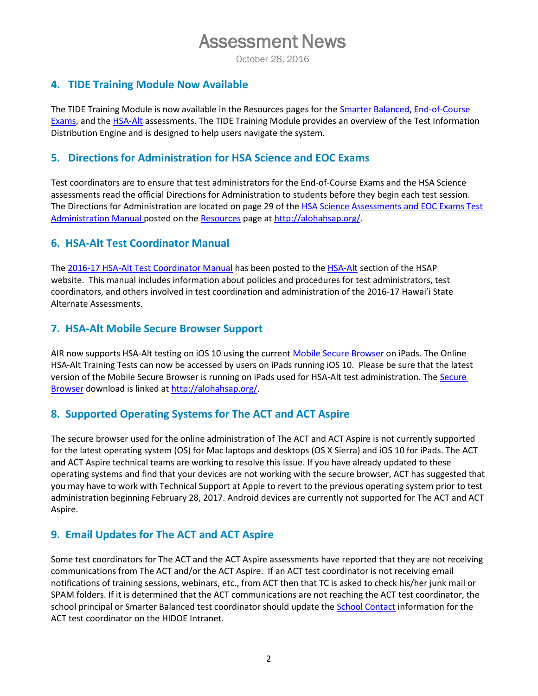# Assessment News

October 28, 2016

#### **4. TIDE Training Module Now Available**

The TIDE Training Module is now available in the Resources pages for the [Smarter Balanced,](http://alohahsap.org/SMARTERBALANCED/resources/) End-of-Course [Exams,](http://alohahsap.org/EOC/resources/) and th[e HSA-Alt](http://alohahsap.org/HSA_ALT/resources/) assessments. The TIDE Training Module provides an overview of the Test Information Distribution Engine and is designed to help users navigate the system.

#### **5. Directions for Administration for HSA Science and EOC Exams**

Test coordinators are to ensure that test administrators for the End-of-Course Exams and the HSA Science assessments read the official Directions for Administration to students before they begin each test session. The Directions for Administration are located on page 29 of the HSA Science Assessments and EOC Exams Test [Administration Manual p](http://alohahsap.org/HSA/wp-content/uploads/2016/03/TAM_HSA-Science-and-End-of-Course-Exams_2016-2017.pdf)osted on th[e Resources](http://alohahsap.org/HSA/resources/?section=1) page at [http://alohahsap.org/.](http://alohahsap.org/)

#### **6. HSA-Alt Test Coordinator Manual**

The [2016-17 HSA-Alt Test Coordinator Manual](http://alohahsap.org/HSA_ALT/wp-content/uploads/2016/10/HSA-Alt-Spring-2017-TCM.pdf) has been posted to the [HSA-Alt](http://alohahsap.org/HSA_ALT/) section of the HSAP website. This manual includes information about policies and procedures for test administrators, test coordinators, and others involved in test coordination and administration of the 2016-17 Hawai'i State Alternate Assessments.

#### **7. HSA-Alt Mobile Secure Browser Support**

AIR now supports HSA-Alt testing on iOS 10 using the current [Mobile Secure Browser](http://alohahsap.org/HSA/browsers/) on iPads. The Online HSA-Alt Training Tests can now be accessed by users on iPads running iOS 10. Please be sure that the latest version of the Mobil[e Secure](http://alohahsap.org/HSA/browsers/) Browser is running on iPads used for HSA-Alt test administration. The Secure [Browser](http://alohahsap.org/HSA/browsers/) download is linked at [http://alohahsap.org/.](http://alohahsap.org/)

### **8. Supported Operating Systems for The ACT and ACT Aspire**

The secure browser used for the online administration of The ACT and ACT Aspire is not currently supported for the latest operating system (OS) for Mac laptops and desktops (OS X Sierra) and iOS 10 for iPads. The ACT and ACT Aspire technical teams are working to resolve this issue. If you have already updated to these operating systems and find that your devices are not working with the secure browser, ACT has suggested that you may have to work with Technical Support at Apple to revert to the previous operating system prior to test administration beginning February 28, 2017. Android devices are currently not supported for The ACT and ACT Aspire.

### **9. Email Updates for The ACT and ACT Aspire**

Some test coordinators for The ACT and the ACT Aspire assessments have reported that they are not receiving communications from The ACT and/or the ACT Aspire. If an ACT test coordinator is not receiving email notifications of training sessions, webinars, etc., from ACT then that TC is asked to check his/her junk mail or SPAM folders. If it is determined that the ACT communications are not reaching the ACT test coordinator, the school principal or Smarter Balanced test coordinator should update the [School Contact](https://intranet.hawaiipublicschools.org/offices/osip/aa/Pages/SchoolContacts.aspx#/main) information for the ACT test coordinator on the HIDOE Intranet.